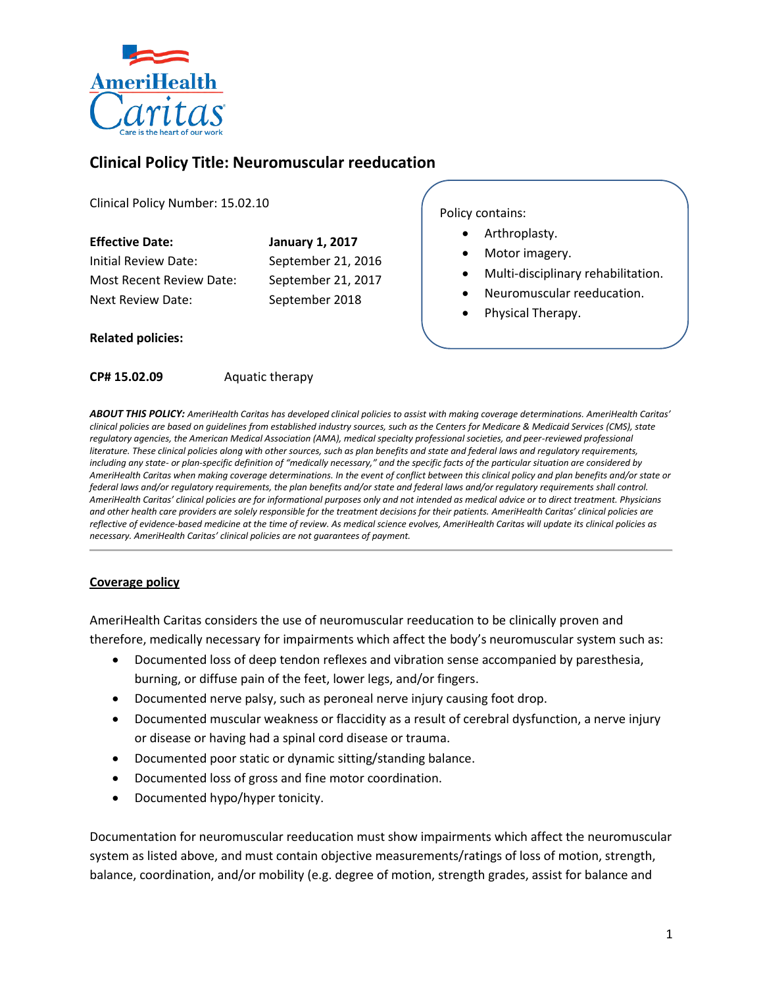

# **Clinical Policy Title: Neuromuscular reeducation**

Clinical Policy Number: 15.02.10

| <b>Effective Date:</b>   | <b>January 1, 2017</b> |
|--------------------------|------------------------|
| Initial Review Date:     | September 21, 2016     |
| Most Recent Review Date: | September 21, 2017     |
| <b>Next Review Date:</b> | September 2018         |
|                          |                        |

Policy contains:

- Arthroplasty.
- Motor imagery.
- Multi-disciplinary rehabilitation.
- Neuromuscular reeducation.
- Physical Therapy.

### **Related policies:**

**CP# 15.02.09** Aquatic therapy

*ABOUT THIS POLICY: AmeriHealth Caritas has developed clinical policies to assist with making coverage determinations. AmeriHealth Caritas' clinical policies are based on guidelines from established industry sources, such as the Centers for Medicare & Medicaid Services (CMS), state regulatory agencies, the American Medical Association (AMA), medical specialty professional societies, and peer-reviewed professional literature. These clinical policies along with other sources, such as plan benefits and state and federal laws and regulatory requirements, including any state- or plan-specific definition of "medically necessary," and the specific facts of the particular situation are considered by AmeriHealth Caritas when making coverage determinations. In the event of conflict between this clinical policy and plan benefits and/or state or federal laws and/or regulatory requirements, the plan benefits and/or state and federal laws and/or regulatory requirements shall control. AmeriHealth Caritas' clinical policies are for informational purposes only and not intended as medical advice or to direct treatment. Physicians and other health care providers are solely responsible for the treatment decisions for their patients. AmeriHealth Caritas' clinical policies are reflective of evidence-based medicine at the time of review. As medical science evolves, AmeriHealth Caritas will update its clinical policies as necessary. AmeriHealth Caritas' clinical policies are not guarantees of payment.* 

### **Coverage policy**

AmeriHealth Caritas considers the use of neuromuscular reeducation to be clinically proven and therefore, medically necessary for impairments which affect the body's neuromuscular system such as:

- Documented loss of deep tendon reflexes and vibration sense accompanied by paresthesia, burning, or diffuse pain of the feet, lower legs, and/or fingers.
- Documented nerve palsy, such as peroneal nerve injury causing foot drop.
- Documented muscular weakness or flaccidity as a result of cerebral dysfunction, a nerve injury or disease or having had a spinal cord disease or trauma.
- Documented poor static or dynamic sitting/standing balance.
- Documented loss of gross and fine motor coordination.
- Documented hypo/hyper tonicity.

Documentation for neuromuscular reeducation must show impairments which affect the neuromuscular system as listed above, and must contain objective measurements/ratings of loss of motion, strength, balance, coordination, and/or mobility (e.g. degree of motion, strength grades, assist for balance and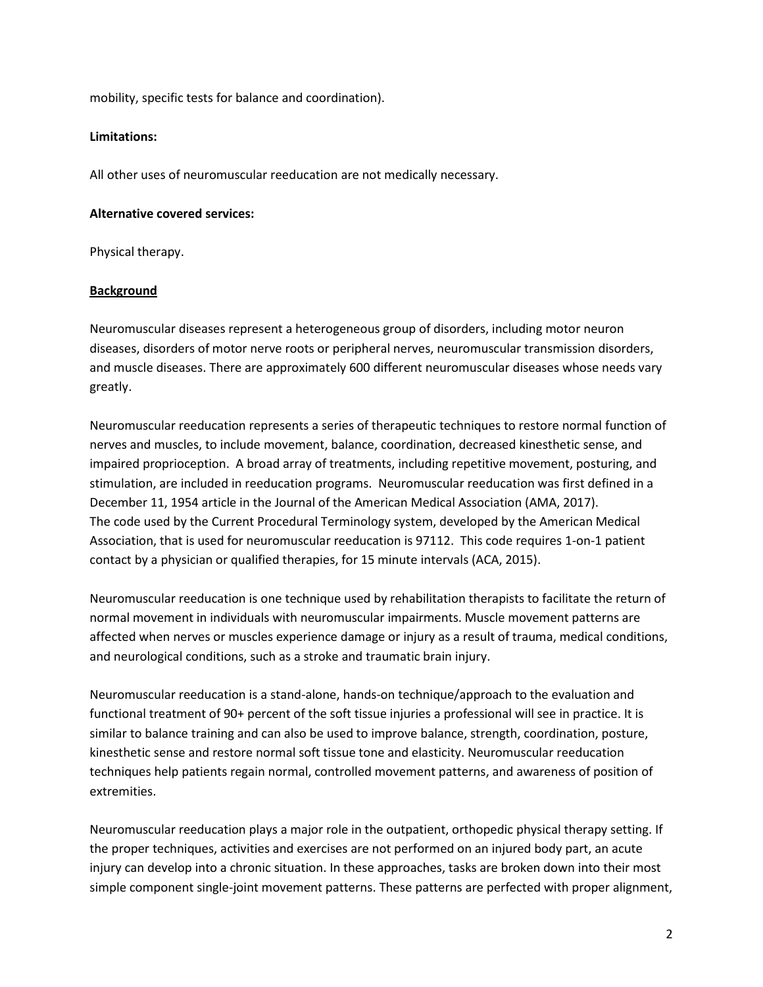mobility, specific tests for balance and coordination).

#### **Limitations:**

All other uses of neuromuscular reeducation are not medically necessary.

#### **Alternative covered services:**

Physical therapy.

### **Background**

Neuromuscular diseases represent a heterogeneous group of disorders, including motor neuron diseases, disorders of motor nerve roots or peripheral nerves, neuromuscular transmission disorders, and muscle diseases. There are approximately 600 different neuromuscular diseases whose needs vary greatly.

Neuromuscular reeducation represents a series of therapeutic techniques to restore normal function of nerves and muscles, to include movement, balance, coordination, decreased kinesthetic sense, and impaired proprioception. A broad array of treatments, including repetitive movement, posturing, and stimulation, are included in reeducation programs. Neuromuscular reeducation was first defined in a December 11, 1954 article in the Journal of the American Medical Association (AMA, 2017). The code used by the Current Procedural Terminology system, developed by the American Medical Association, that is used for neuromuscular reeducation is 97112. This code requires 1-on-1 patient contact by a physician or qualified therapies, for 15 minute intervals (ACA, 2015).

Neuromuscular reeducation is one technique used by rehabilitation therapists to facilitate the return of normal movement in individuals with neuromuscular impairments. Muscle movement patterns are affected when nerves or muscles experience damage or injury as a result of trauma, medical conditions, and neurological conditions, such as a stroke and traumatic brain injury.

Neuromuscular reeducation is a stand-alone, hands-on technique/approach to the evaluation and functional treatment of 90+ percent of the soft tissue injuries a professional will see in practice. It is similar to balance training and can also be used to improve balance, strength, coordination, posture, kinesthetic sense and restore normal soft tissue tone and elasticity. Neuromuscular reeducation techniques help patients regain normal, controlled movement patterns, and awareness of position of extremities.

Neuromuscular reeducation plays a major role in the outpatient, orthopedic physical therapy setting. If the proper techniques, activities and exercises are not performed on an injured body part, an acute injury can develop into a chronic situation. In these approaches, tasks are broken down into their most simple component single-joint movement patterns. These patterns are perfected with proper alignment,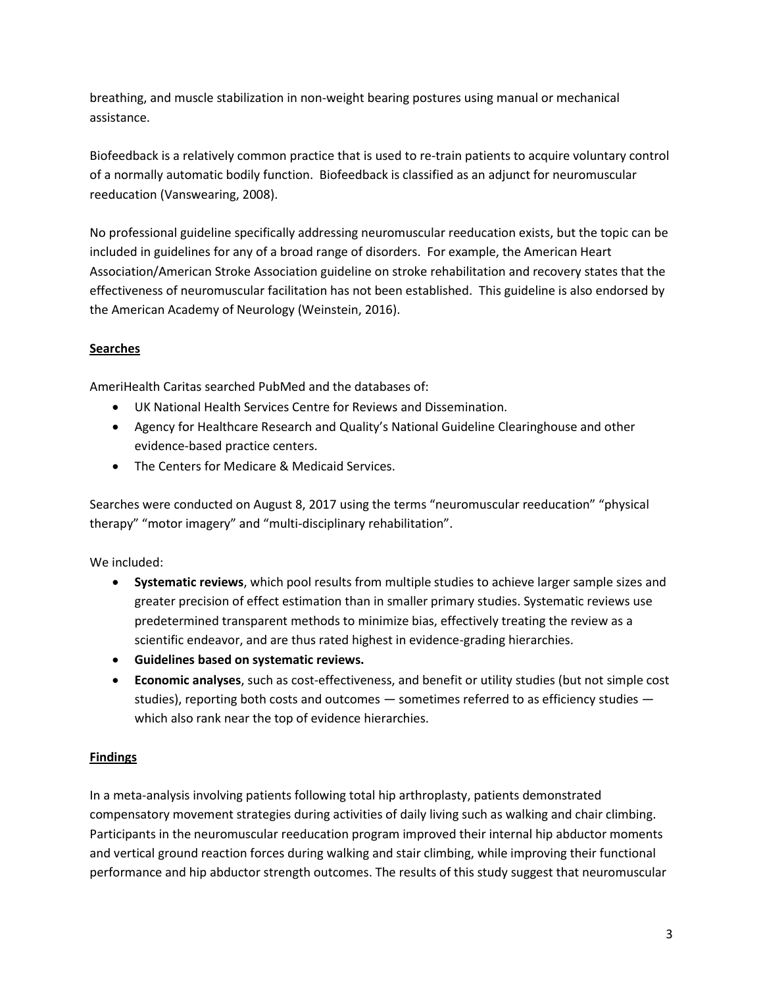breathing, and muscle stabilization in non-weight bearing postures using manual or mechanical assistance.

Biofeedback is a relatively common practice that is used to re-train patients to acquire voluntary control of a normally automatic bodily function. Biofeedback is classified as an adjunct for neuromuscular reeducation (Vanswearing, 2008).

No professional guideline specifically addressing neuromuscular reeducation exists, but the topic can be included in guidelines for any of a broad range of disorders. For example, the American Heart Association/American Stroke Association guideline on stroke rehabilitation and recovery states that the effectiveness of neuromuscular facilitation has not been established. This guideline is also endorsed by the American Academy of Neurology (Weinstein, 2016).

## **Searches**

AmeriHealth Caritas searched PubMed and the databases of:

- UK National Health Services Centre for Reviews and Dissemination.
- Agency for Healthcare Research and Quality's National Guideline Clearinghouse and other evidence-based practice centers.
- The Centers for Medicare & Medicaid Services.

Searches were conducted on August 8, 2017 using the terms "neuromuscular reeducation" "physical therapy" "motor imagery" and "multi-disciplinary rehabilitation".

We included:

- **Systematic reviews**, which pool results from multiple studies to achieve larger sample sizes and greater precision of effect estimation than in smaller primary studies. Systematic reviews use predetermined transparent methods to minimize bias, effectively treating the review as a scientific endeavor, and are thus rated highest in evidence-grading hierarchies.
- **Guidelines based on systematic reviews.**
- **Economic analyses**, such as cost-effectiveness, and benefit or utility studies (but not simple cost studies), reporting both costs and outcomes — sometimes referred to as efficiency studies which also rank near the top of evidence hierarchies.

## **Findings**

In a meta-analysis involving patients following total hip arthroplasty, patients demonstrated compensatory movement strategies during activities of daily living such as walking and chair climbing. Participants in the neuromuscular reeducation program improved their internal hip abductor moments and vertical ground reaction forces during walking and stair climbing, while improving their functional performance and hip abductor strength outcomes. The results of this study suggest that neuromuscular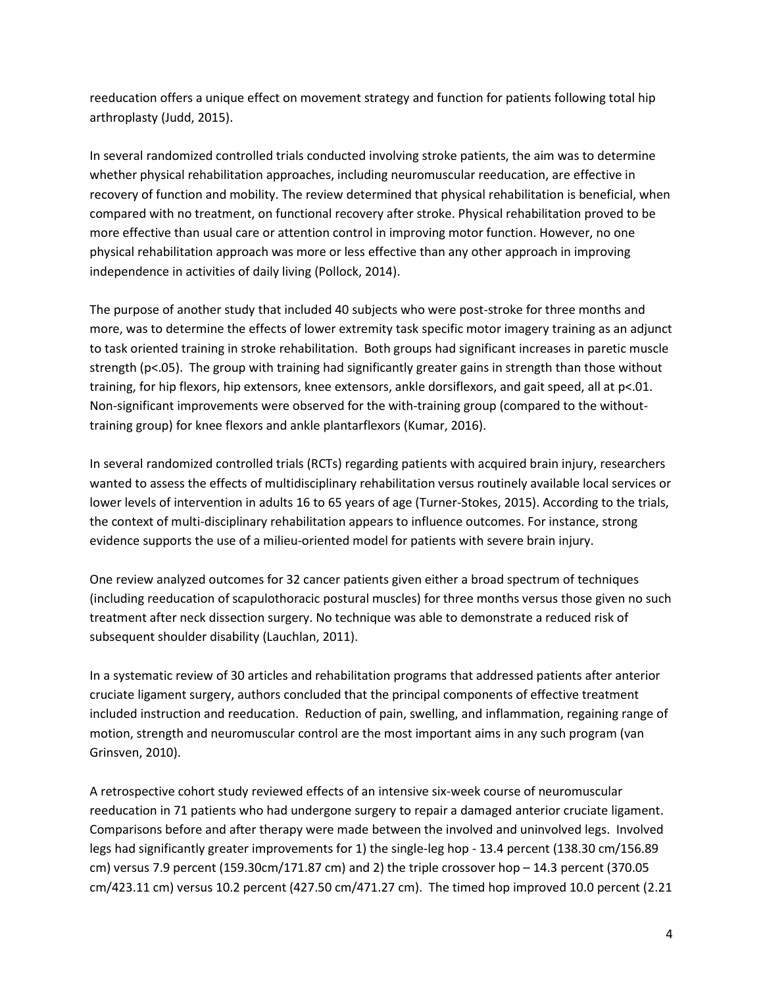reeducation offers a unique effect on movement strategy and function for patients following total hip arthroplasty (Judd, 2015).

In several randomized controlled trials conducted involving stroke patients, the aim was to determine whether physical rehabilitation approaches, including neuromuscular reeducation, are effective in recovery of function and mobility. The review determined that physical rehabilitation is beneficial, when compared with no treatment, on functional recovery after stroke. Physical rehabilitation proved to be more effective than usual care or attention control in improving motor function. However, no one physical rehabilitation approach was more or less effective than any other approach in improving independence in activities of daily living (Pollock, 2014).

The purpose of another study that included 40 subjects who were post-stroke for three months and more, was to determine the effects of lower extremity task specific motor imagery training as an adjunct to task oriented training in stroke rehabilitation. Both groups had significant increases in paretic muscle strength (p<.05). The group with training had significantly greater gains in strength than those without training, for hip flexors, hip extensors, knee extensors, ankle dorsiflexors, and gait speed, all at p<.01. Non-significant improvements were observed for the with-training group (compared to the withouttraining group) for knee flexors and ankle plantarflexors (Kumar, 2016).

In several randomized controlled trials (RCTs) regarding patients with acquired brain injury, researchers wanted to assess the effects of multidisciplinary rehabilitation versus routinely available local services or lower levels of intervention in adults 16 to 65 years of age (Turner-Stokes, 2015). According to the trials, the context of multi-disciplinary rehabilitation appears to influence outcomes. For instance, strong evidence supports the use of a milieu-oriented model for patients with severe brain injury.

One review analyzed outcomes for 32 cancer patients given either a broad spectrum of techniques (including reeducation of scapulothoracic postural muscles) for three months versus those given no such treatment after neck dissection surgery. No technique was able to demonstrate a reduced risk of subsequent shoulder disability (Lauchlan, 2011).

In a systematic review of 30 articles and rehabilitation programs that addressed patients after anterior cruciate ligament surgery, authors concluded that the principal components of effective treatment included instruction and reeducation. Reduction of pain, swelling, and inflammation, regaining range of motion, strength and neuromuscular control are the most important aims in any such program (van Grinsven, 2010).

A retrospective cohort study reviewed effects of an intensive six-week course of neuromuscular reeducation in 71 patients who had undergone surgery to repair a damaged anterior cruciate ligament. Comparisons before and after therapy were made between the involved and uninvolved legs. Involved legs had significantly greater improvements for 1) the single-leg hop - 13.4 percent (138.30 cm/156.89 cm) versus 7.9 percent (159.30cm/171.87 cm) and 2) the triple crossover hop – 14.3 percent (370.05 cm/423.11 cm) versus 10.2 percent (427.50 cm/471.27 cm). The timed hop improved 10.0 percent (2.21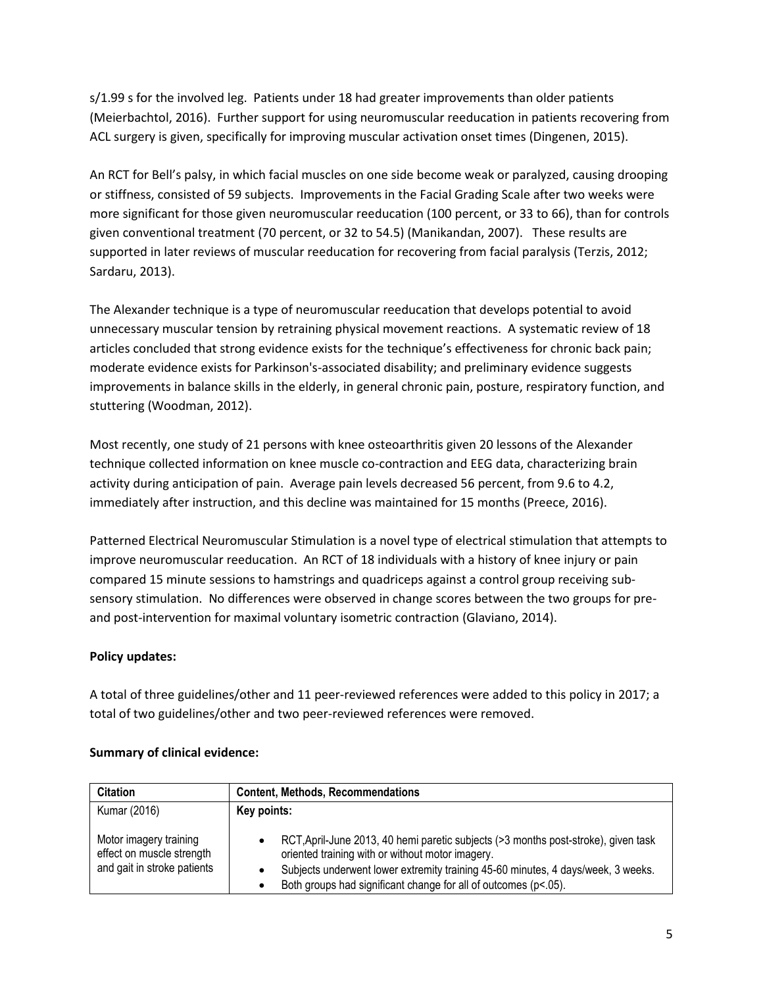s/1.99 s for the involved leg. Patients under 18 had greater improvements than older patients (Meierbachtol, 2016). Further support for using neuromuscular reeducation in patients recovering from ACL surgery is given, specifically for improving muscular activation onset times (Dingenen, 2015).

An RCT for Bell's palsy, in which facial muscles on one side become weak or paralyzed, causing drooping or stiffness, consisted of 59 subjects. Improvements in the Facial Grading Scale after two weeks were more significant for those given neuromuscular reeducation (100 percent, or 33 to 66), than for controls given conventional treatment (70 percent, or 32 to 54.5) (Manikandan, 2007). These results are supported in later reviews of muscular reeducation for recovering from facial paralysis (Terzis, 2012; Sardaru, 2013).

The Alexander technique is a type of neuromuscular reeducation that develops potential to avoid unnecessary muscular tension by retraining physical movement reactions. A systematic review of 18 articles concluded that strong evidence exists for the technique's effectiveness for chronic back pain; moderate evidence exists for Parkinson's-associated disability; and preliminary evidence suggests improvements in balance skills in the elderly, in general chronic pain, posture, respiratory function, and stuttering (Woodman, 2012).

Most recently, one study of 21 persons with knee osteoarthritis given 20 lessons of the Alexander technique collected information on knee muscle co-contraction and EEG data, characterizing brain activity during anticipation of pain. Average pain levels decreased 56 percent, from 9.6 to 4.2, immediately after instruction, and this decline was maintained for 15 months (Preece, 2016).

Patterned Electrical Neuromuscular Stimulation is a novel type of electrical stimulation that attempts to improve neuromuscular reeducation. An RCT of 18 individuals with a history of knee injury or pain compared 15 minute sessions to hamstrings and quadriceps against a control group receiving subsensory stimulation. No differences were observed in change scores between the two groups for preand post-intervention for maximal voluntary isometric contraction (Glaviano, 2014).

## **Policy updates:**

A total of three guidelines/other and 11 peer-reviewed references were added to this policy in 2017; a total of two guidelines/other and two peer-reviewed references were removed.

| <b>Citation</b>                                                                    | <b>Content, Methods, Recommendations</b>                                                                                                                                                                                                                                                      |  |  |
|------------------------------------------------------------------------------------|-----------------------------------------------------------------------------------------------------------------------------------------------------------------------------------------------------------------------------------------------------------------------------------------------|--|--|
| Kumar (2016)                                                                       | Key points:                                                                                                                                                                                                                                                                                   |  |  |
| Motor imagery training<br>effect on muscle strength<br>and gait in stroke patients | RCT, April-June 2013, 40 hemi paretic subjects (>3 months post-stroke), given task<br>oriented training with or without motor imagery.<br>Subjects underwent lower extremity training 45-60 minutes, 4 days/week, 3 weeks.<br>Both groups had significant change for all of outcomes (p<.05). |  |  |

## **Summary of clinical evidence:**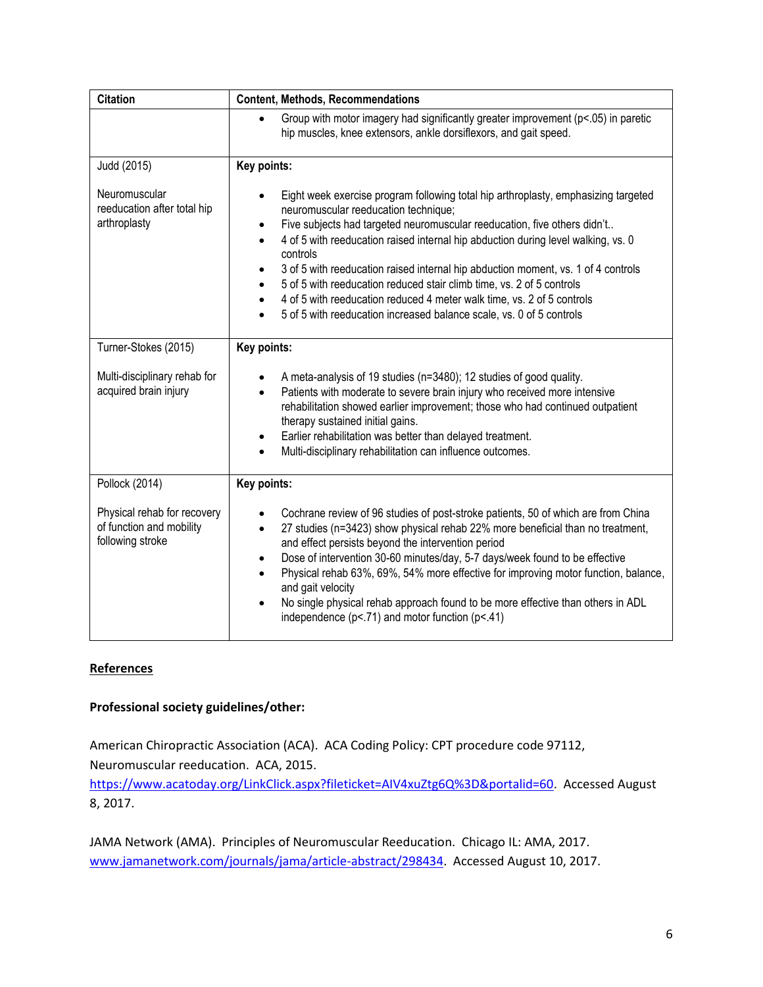| <b>Citation</b>                                                             | <b>Content, Methods, Recommendations</b>                                                                                                                                                                                                                                                                                                                                                                                                                                                                                                                                                                                                                                                                           |  |  |
|-----------------------------------------------------------------------------|--------------------------------------------------------------------------------------------------------------------------------------------------------------------------------------------------------------------------------------------------------------------------------------------------------------------------------------------------------------------------------------------------------------------------------------------------------------------------------------------------------------------------------------------------------------------------------------------------------------------------------------------------------------------------------------------------------------------|--|--|
|                                                                             | Group with motor imagery had significantly greater improvement (p<.05) in paretic<br>hip muscles, knee extensors, ankle dorsiflexors, and gait speed.                                                                                                                                                                                                                                                                                                                                                                                                                                                                                                                                                              |  |  |
| Judd (2015)                                                                 | Key points:                                                                                                                                                                                                                                                                                                                                                                                                                                                                                                                                                                                                                                                                                                        |  |  |
| Neuromuscular<br>reeducation after total hip<br>arthroplasty                | Eight week exercise program following total hip arthroplasty, emphasizing targeted<br>$\bullet$<br>neuromuscular reeducation technique;<br>Five subjects had targeted neuromuscular reeducation, five others didn't<br>$\bullet$<br>4 of 5 with reeducation raised internal hip abduction during level walking, vs. 0<br>$\bullet$<br>controls<br>3 of 5 with reeducation raised internal hip abduction moment, vs. 1 of 4 controls<br>$\bullet$<br>5 of 5 with reeducation reduced stair climb time, vs. 2 of 5 controls<br>$\bullet$<br>4 of 5 with reeducation reduced 4 meter walk time, vs. 2 of 5 controls<br>$\bullet$<br>5 of 5 with reeducation increased balance scale, vs. 0 of 5 controls<br>$\bullet$ |  |  |
| Turner-Stokes (2015)                                                        | Key points:                                                                                                                                                                                                                                                                                                                                                                                                                                                                                                                                                                                                                                                                                                        |  |  |
| Multi-disciplinary rehab for<br>acquired brain injury                       | A meta-analysis of 19 studies (n=3480); 12 studies of good quality.<br>Patients with moderate to severe brain injury who received more intensive<br>$\bullet$<br>rehabilitation showed earlier improvement; those who had continued outpatient<br>therapy sustained initial gains.<br>Earlier rehabilitation was better than delayed treatment.<br>$\bullet$<br>Multi-disciplinary rehabilitation can influence outcomes.<br>$\bullet$                                                                                                                                                                                                                                                                             |  |  |
| Pollock (2014)                                                              | Key points:                                                                                                                                                                                                                                                                                                                                                                                                                                                                                                                                                                                                                                                                                                        |  |  |
| Physical rehab for recovery<br>of function and mobility<br>following stroke | Cochrane review of 96 studies of post-stroke patients, 50 of which are from China<br>$\bullet$<br>27 studies (n=3423) show physical rehab 22% more beneficial than no treatment,<br>$\bullet$<br>and effect persists beyond the intervention period<br>Dose of intervention 30-60 minutes/day, 5-7 days/week found to be effective<br>$\bullet$<br>Physical rehab 63%, 69%, 54% more effective for improving motor function, balance,<br>$\bullet$<br>and gait velocity<br>No single physical rehab approach found to be more effective than others in ADL<br>$\bullet$<br>independence ( $p$ <.71) and motor function ( $p$ <.41)                                                                                 |  |  |

## **References**

## **Professional society guidelines/other:**

American Chiropractic Association (ACA). ACA Coding Policy: CPT procedure code 97112, Neuromuscular reeducation. ACA, 2015.

[https://www.acatoday.org/LinkClick.aspx?fileticket=AIV4xuZtg6Q%3D&portalid=60.](https://www.acatoday.org/LinkClick.aspx?fileticket=AIV4xuZtg6Q%3D&portalid=60) Accessed August 8, 2017.

JAMA Network (AMA). Principles of Neuromuscular Reeducation. Chicago IL: AMA, 2017. [www.jamanetwork.com/journals/jama/article-abstract/298434.](http://www.jamanetwork.com/journals/jama/article-abstract/298434) Accessed August 10, 2017.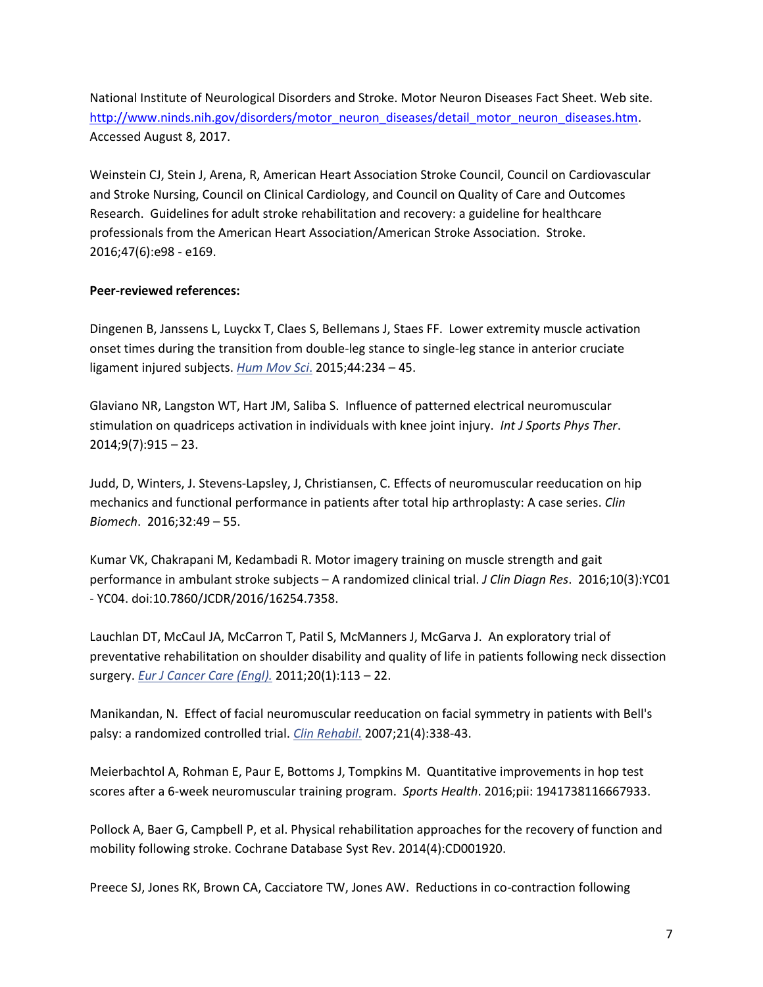National Institute of Neurological Disorders and Stroke. Motor Neuron Diseases Fact Sheet. Web site. [http://www.ninds.nih.gov/disorders/motor\\_neuron\\_diseases/detail\\_motor\\_neuron\\_diseases.htm.](http://www.ninds.nih.gov/disorders/motor_neuron_diseases/detail_motor_neuron_diseases.htm) Accessed August 8, 2017.

Weinstein CJ, Stein J, Arena, R, American Heart Association Stroke Council, Council on Cardiovascular and Stroke Nursing, Council on Clinical Cardiology, and Council on Quality of Care and Outcomes Research. Guidelines for adult stroke rehabilitation and recovery: a guideline for healthcare professionals from the American Heart Association/American Stroke Association. Stroke. 2016;47(6):e98 - e169.

### **Peer-reviewed references:**

Dingenen B, Janssens L, Luyckx T, Claes S, Bellemans J, Staes FF. Lower extremity muscle activation onset times during the transition from double-leg stance to single-leg stance in anterior cruciate ligament injured subjects. *[Hum Mov Sci](https://www.ncbi.nlm.nih.gov/pubmed/26409102)*. 2015;44:234 – 45.

Glaviano NR, Langston WT, Hart JM, Saliba S. Influence of patterned electrical neuromuscular stimulation on quadriceps activation in individuals with knee joint injury. *Int J Sports Phys Ther*. 2014;9(7):915 – 23.

Judd, D, Winters, J. Stevens-Lapsley, J, Christiansen, C. Effects of neuromuscular reeducation on hip mechanics and functional performance in patients after total hip arthroplasty: A case series. *Clin Biomech*. 2016;32:49 – 55.

Kumar VK, Chakrapani M, Kedambadi R. Motor imagery training on muscle strength and gait performance in ambulant stroke subjects – A randomized clinical trial. *J Clin Diagn Res*. 2016;10(3):YC01 - YC04. doi:10.7860/JCDR/2016/16254.7358.

Lauchlan DT, McCaul JA, McCarron T, Patil S, McManners J, McGarva J. An exploratory trial of preventative rehabilitation on shoulder disability and quality of life in patients following neck dissection surgery. *[Eur J Cancer Care \(Engl\).](https://www.ncbi.nlm.nih.gov/pubmed/?term=Lauchlan+DT+2011)* 2011;20(1):113 – 22.

Manikandan, N. Effect of facial neuromuscular reeducation on facial symmetry in patients with Bell's palsy: a randomized controlled trial. *[Clin Rehabil](https://www.ncbi.nlm.nih.gov/pubmed/17613574)*. 2007;21(4):338-43.

Meierbachtol A, Rohman E, Paur E, Bottoms J, Tompkins M. Quantitative improvements in hop test scores after a 6-week neuromuscular training program. *Sports Health*. 2016;pii: 1941738116667933.

Pollock A, Baer G, Campbell P, et al. Physical rehabilitation approaches for the recovery of function and mobility following stroke. Cochrane Database Syst Rev. 2014(4):CD001920.

Preece SJ, Jones RK, Brown CA, Cacciatore TW, Jones AW. Reductions in co-contraction following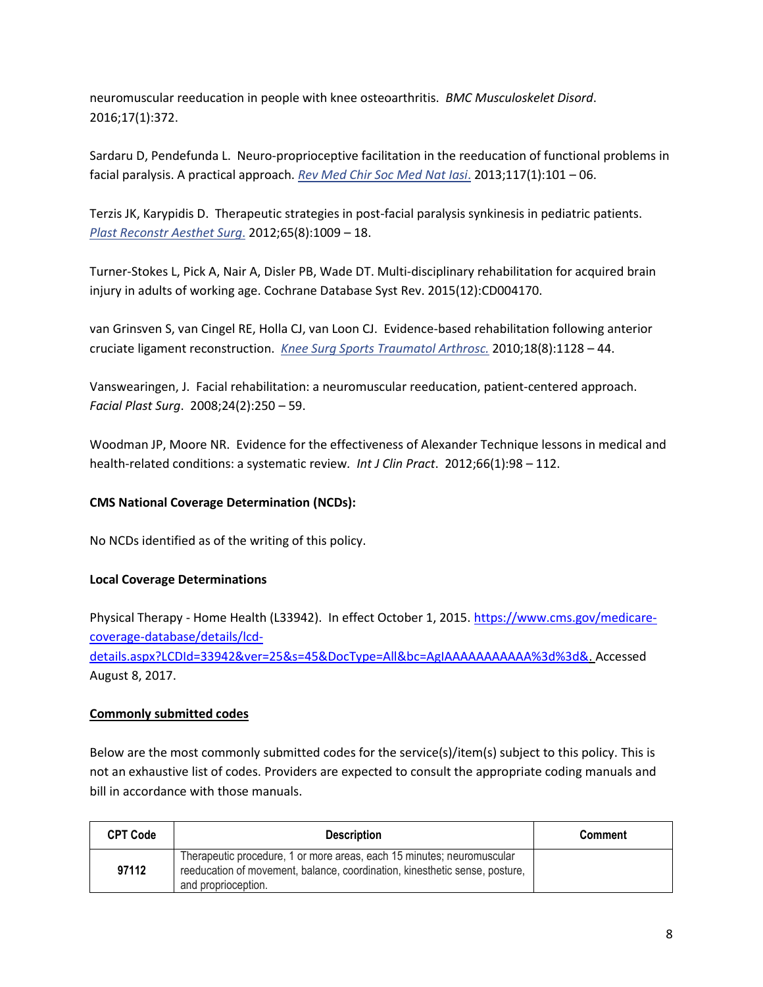neuromuscular reeducation in people with knee osteoarthritis. *BMC Musculoskelet Disord*. 2016;17(1):372.

Sardaru D, Pendefunda L. Neuro-proprioceptive facilitation in the reeducation of functional problems in facial paralysis. A practical approach. *[Rev Med Chir Soc Med Nat Iasi](https://www.ncbi.nlm.nih.gov/pubmed/24505900)*. 2013;117(1):101 – 06.

Terzis JK, Karypidis D. Therapeutic strategies in post-facial paralysis synkinesis in pediatric patients. *[Plast Reconstr Aesthet Surg](https://www.ncbi.nlm.nih.gov/pubmed/22483723)*. 2012;65(8):1009 – 18.

Turner-Stokes L, Pick A, Nair A, Disler PB, Wade DT. Multi-disciplinary rehabilitation for acquired brain injury in adults of working age. Cochrane Database Syst Rev. 2015(12):CD004170.

van Grinsven S, van Cingel RE, Holla CJ, van Loon CJ. Evidence-based rehabilitation following anterior cruciate ligament reconstruction. *[Knee Surg Sports Traumatol Arthrosc.](https://www.ncbi.nlm.nih.gov/pubmed/20069277)* 2010;18(8):1128 – 44.

Vanswearingen, J. Facial rehabilitation: a neuromuscular reeducation, patient-centered approach. *Facial Plast Surg*. 2008;24(2):250 – 59.

Woodman JP, Moore NR. Evidence for the effectiveness of Alexander Technique lessons in medical and health-related conditions: a systematic review*. Int J Clin Pract*. 2012;66(1):98 – 112.

## **CMS National Coverage Determination (NCDs):**

No NCDs identified as of the writing of this policy.

### **Local Coverage Determinations**

Physical Therapy - Home Health (L33942). In effect October 1, 2015. [https://www.cms.gov/medicare](https://www.cms.gov/medicare-coverage-database/details/lcd-details.aspx?LCDId=33942&ver=25&s=45&DocType=All&bc=AgIAAAAAAAAAAA%3d%3d&)[coverage-database/details/lcd](https://www.cms.gov/medicare-coverage-database/details/lcd-details.aspx?LCDId=33942&ver=25&s=45&DocType=All&bc=AgIAAAAAAAAAAA%3d%3d&)[details.aspx?LCDId=33942&ver=25&s=45&DocType=All&bc=AgIAAAAAAAAAAA%3d%3d&.](https://www.cms.gov/medicare-coverage-database/details/lcd-details.aspx?LCDId=33942&ver=25&s=45&DocType=All&bc=AgIAAAAAAAAAAA%3d%3d&) Accessed

August 8, 2017.

### **Commonly submitted codes**

Below are the most commonly submitted codes for the service(s)/item(s) subject to this policy. This is not an exhaustive list of codes. Providers are expected to consult the appropriate coding manuals and bill in accordance with those manuals.

| <b>CPT Code</b> | <b>Description</b>                                                                                                                                                           | <b>Comment</b> |
|-----------------|------------------------------------------------------------------------------------------------------------------------------------------------------------------------------|----------------|
| 97112           | Therapeutic procedure, 1 or more areas, each 15 minutes; neuromuscular<br>reeducation of movement, balance, coordination, kinesthetic sense, posture,<br>and proprioception. |                |